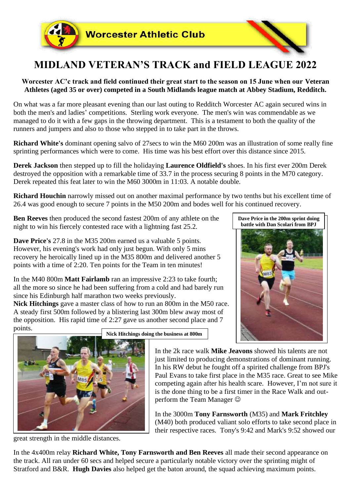

## **MIDLAND VETERAN'S TRACK and FIELD LEAGUE 2022**

## **Worcester AC'c track and field continued their great start to the season on 15 June when our Veteran Athletes (aged 35 or over) competed in a South Midlands league match at Abbey Stadium, Redditch.**

On what was a far more pleasant evening than our last outing to Redditch Worcester AC again secured wins in both the men's and ladies' competitions. Sterling work everyone. The men's win was commendable as we managed to do it with a few gaps in the throwing department. This is a testament to both the quality of the runners and jumpers and also to those who stepped in to take part in the throws.

**Richard White's** dominant opening salvo of 27secs to win the M60 200m was an illustration of some really fine sprinting performances which were to come. His time was his best effort over this distance since 2015.

**Derek Jackson** then stepped up to fill the holidaying **Laurence Oldfield's** shoes. In his first ever 200m Derek destroyed the opposition with a remarkable time of 33.7 in the process securing 8 points in the M70 category. Derek repeated this feat later to win the M60 3000m in 11:03. A notable double.

**Richard Houchin** narrowly missed out on another maximal performance by two tenths but his excellent time of 26.4 was good enough to secure 7 points in the M50 200m and bodes well for his continued recovery.

**Ben Reeves** then produced the second fastest 200m of any athlete on the night to win his fiercely contested race with a lightning fast 25.2.

**Dave Price's** 27.8 in the M35 200m earned us a valuable 5 points. However, his evening's work had only just begun. With only 5 mins recovery he heroically lined up in the M35 800m and delivered another 5 points with a time of 2:20. Ten points for the Team in ten minutes!

In the M40 800m **Matt Fairlamb** ran an impressive 2:23 to take fourth; all the more so since he had been suffering from a cold and had barely run since his Edinburgh half marathon two weeks previously.

**Nick Hitchings** gave a master class of how to run an 800m in the M50 race. A steady first 500m followed by a blistering last 300m blew away most of the opposition. His rapid time of 2:27 gave us another second place and 7 points.





**Nick Hitchings doing the business at 800m**

In the 2k race walk **Mike Jeavons** showed his talents are not just limited to producing demonstrations of dominant running. In his RW debut he fought off a spirited challenge from BPJ's Paul Evans to take first place in the M35 race. Great to see Mike competing again after his health scare. However, I'm not sure it is the done thing to be a first timer in the Race Walk and outperform the Team Manager  $\odot$ 

In the 3000m **Tony Farnsworth** (M35) and **Mark Fritchley** (M40) both produced valiant solo efforts to take second place in their respective races. Tony's 9:42 and Mark's 9:52 showed our

great strength in the middle distances.

In the 4x400m relay **Richard White, Tony Farnsworth and Ben Reeves** all made their second appearance on the track. All ran under 60 secs and helped secure a particularly notable victory over the sprinting might of Stratford and B&R. **Hugh Davies** also helped get the baton around, the squad achieving maximum points.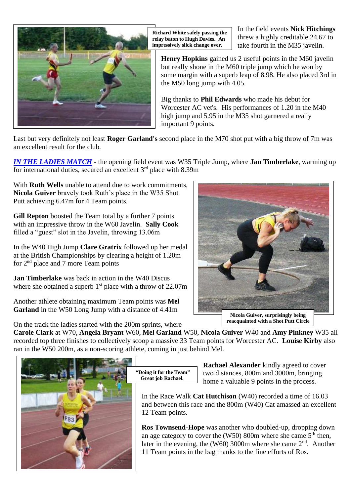

**Richard White safely passing the relay baton to Hugh Davies. An impressively slick change over.**

In the field events **Nick Hitchings** threw a highly creditable 24.67 to take fourth in the M35 javelin.

**Henry Hopkins** gained us 2 useful points in the M60 javelin but really shone in the M60 triple jump which he won by some margin with a superb leap of 8.98. He also placed 3rd in the M50 long jump with 4.05.

Big thanks to **Phil Edwards** who made his debut for Worcester AC vet's. His performances of 1.20 in the M40 high jump and 5.95 in the M35 shot garnered a really important 9 points.

Last but very definitely not least **Roger Garland's** second place in the M70 shot put with a big throw of 7m was an excellent result for the club.

*IN THE LADIES MATCH* - the opening field event was W35 Triple Jump, where **Jan Timberlake**, warming up for international duties, secured an excellent  $3<sup>rd</sup>$  place with 8.39m

With **Ruth Wells** unable to attend due to work commitments, **Nicola Guiver** bravely took Ruth's place in the W35 Shot Putt achieving 6.47m for 4 Team points.

**Gill Repton** boosted the Team total by a further 7 points with an impressive throw in the W60 Javelin. **Sally Cook** filled a "guest" slot in the Javelin, throwing 13.06m

In the W40 High Jump **Clare Gratrix** followed up her medal at the British Championships by clearing a height of 1.20m for 2nd place and 7 more Team points

**Jan Timberlake** was back in action in the W40 Discus where she obtained a superb  $1<sup>st</sup>$  place with a throw of 22.07m

Another athlete obtaining maximum Team points was **Mel Garland** in the W50 Long Jump with a distance of 4.41m



**Nicola Guiver, surprisingly being reacquainted with a Shot Putt Circle**

On the track the ladies started with the 200m sprints, where

**Carole Clark** at W70, **Angela Bryant** W60, **Mel Garland** W50, **Nicola Guiver** W40 and **Amy Pinkney** W35 all recorded top three finishes to collectively scoop a massive 33 Team points for Worcester AC. **Louise Kirby** also ran in the W50 200m, as a non-scoring athlete, coming in just behind Mel.



**"Doing it for the Team" Great job Rachael.**

**Rachael Alexander** kindly agreed to cover two distances, 800m and 3000m, bringing home a valuable 9 points in the process.

In the Race Walk **Cat Hutchison** (W40) recorded a time of 16.03 and between this race and the 800m (W40) Cat amassed an excellent 12 Team points.

**Ros Townsend-Hope** was another who doubled-up, dropping down an age category to cover the  $(W50)$  800m where she came  $5<sup>th</sup>$  then, later in the evening, the (W60) 3000m where she came  $2<sup>nd</sup>$ . Another 11 Team points in the bag thanks to the fine efforts of Ros.